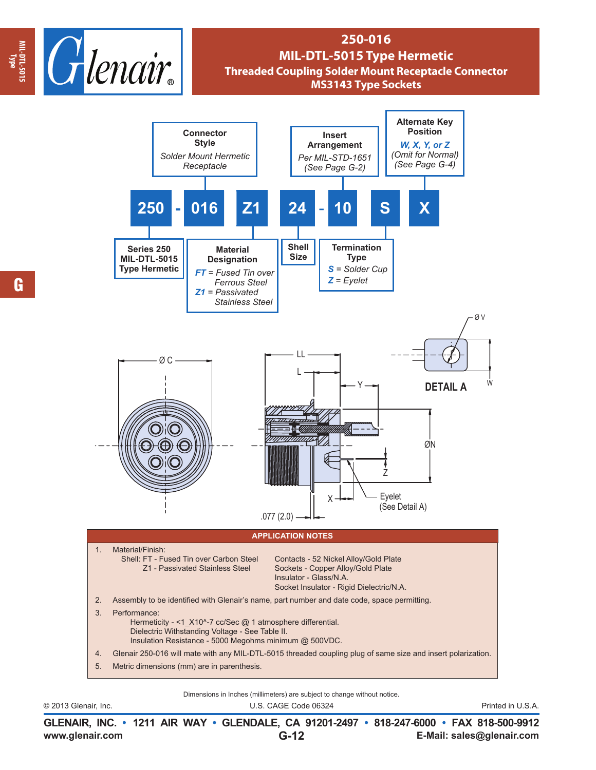

## **250-016 MIL-DTL-5015 Type Hermetic Threaded Coupling Solder Mount Receptacle Connector MS3143 Type Sockets**



Dimensions in Inches (millimeters) are subject to change without notice.

© 2013 Glenair, Inc. U.S. CAGE Code 06324 Printed in U.S.A.

**www.glenair.com E-Mail: sales@glenair.com GLENAIR, INC. • 1211 AIR WAY • GLENDALE, CA 91201-2497 • 818-247-6000 • FAX 818-500-9912 G-12**